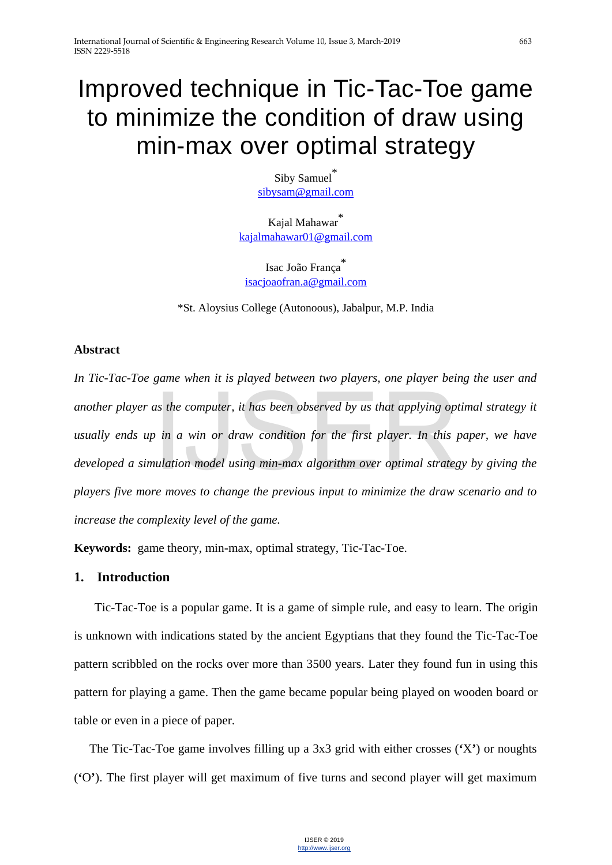# Improved technique in Tic-Tac-Toe game to minimize the condition of draw using min-max over optimal strategy

Siby Samuel\* [sibysam@gmail.com](mailto:sibysam@gmail.com)

Kajal Mahawar<sup>\*</sup> [kajalmahawar01@gmail.com](mailto:kajalmahawar01@gmail.com)

Isac João França [isacjoaofran.a@gmail.com](mailto:isacjoaofran.a@gmail.com)

\*St. Aloysius College (Autonoous), Jabalpur, M.P. India

# **Abstract**

*In Tic-Tac-Toe game when it is played between two players, one player being the user and another player as the computer, it has been observed by us that applying optimal strategy it usually ends up in a win or draw condition for the first player. In this paper, we have developed a simulation model using min-max algorithm over optimal strategy by giving the players five more moves to change the previous input to minimize the draw scenario and to increase the complexity level of the game.* as the computer, it has been observed by us that applying op<br>in a win or draw condition for the first player. In this<br>nulation model using min-max algorithm over optimal strates<br>re moves to change the previous input to min

**Keywords:** game theory, min-max, optimal strategy, Tic-Tac-Toe.

# **1. Introduction**

Tic-Tac-Toe is a popular game. It is a game of simple rule, and easy to learn. The origin is unknown with indications stated by the ancient Egyptians that they found the Tic-Tac-Toe pattern scribbled on the rocks over more than 3500 years. Later they found fun in using this pattern for playing a game. Then the game became popular being played on wooden board or table or even in a piece of paper.

The Tic-Tac-Toe game involves filling up a 3x3 grid with either crosses (**'**X**'**) or noughts (**'**O**'**). The first player will get maximum of five turns and second player will get maximum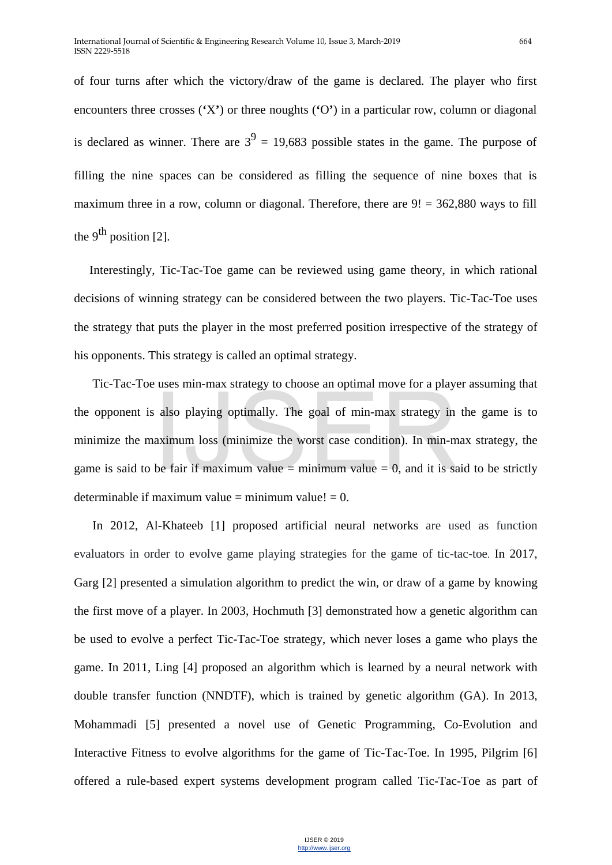of four turns after which the victory/draw of the game is declared. The player who first encounters three crosses (**'**X**'**) or three noughts (**'**O**'**) in a particular row, column or diagonal is declared as winner. There are  $3^9 = 19,683$  possible states in the game. The purpose of filling the nine spaces can be considered as filling the sequence of nine boxes that is maximum three in a row, column or diagonal. Therefore, there are  $9! = 362,880$  ways to fill the 9<sup>th</sup> position [2].

Interestingly, Tic-Tac-Toe game can be reviewed using game theory, in which rational decisions of winning strategy can be considered between the two players. Tic-Tac-Toe uses the strategy that puts the player in the most preferred position irrespective of the strategy of his opponents. This strategy is called an optimal strategy.

Tic-Tac-Toe uses min-max strategy to choose an optimal move for a player assuming that the opponent is also playing optimally. The goal of min-max strategy in the game is to minimize the maximum loss (minimize the worst case condition). In min-max strategy, the game is said to be fair if maximum value  $=$  minimum value  $= 0$ , and it is said to be strictly determinable if maximum value  $=$  minimum value!  $= 0$ . also playing optimally. The goal of min-max strategy in<br>aximum loss (minimize the worst case condition). In min-m<br>be fair if maximum value = minimum value = 0, and it is sa

In 2012, Al-Khateeb [1] proposed artificial neural networks are used as function evaluators in order to evolve game playing strategies for the game of tic-tac-toe. In 2017, Garg [2] presented a simulation algorithm to predict the win, or draw of a game by knowing the first move of a player. In 2003, Hochmuth [3] demonstrated how a genetic algorithm can be used to evolve a perfect Tic-Tac-Toe strategy, which never loses a game who plays the game. In 2011, Ling [4] proposed an algorithm which is learned by a neural network with double transfer function (NNDTF), which is trained by genetic algorithm (GA). In 2013, Mohammadi [5] presented a novel use of Genetic Programming, Co-Evolution and Interactive Fitness to evolve algorithms for the game of Tic-Tac-Toe. In 1995, Pilgrim [6] offered a rule-based expert systems development program called Tic-Tac-Toe as part of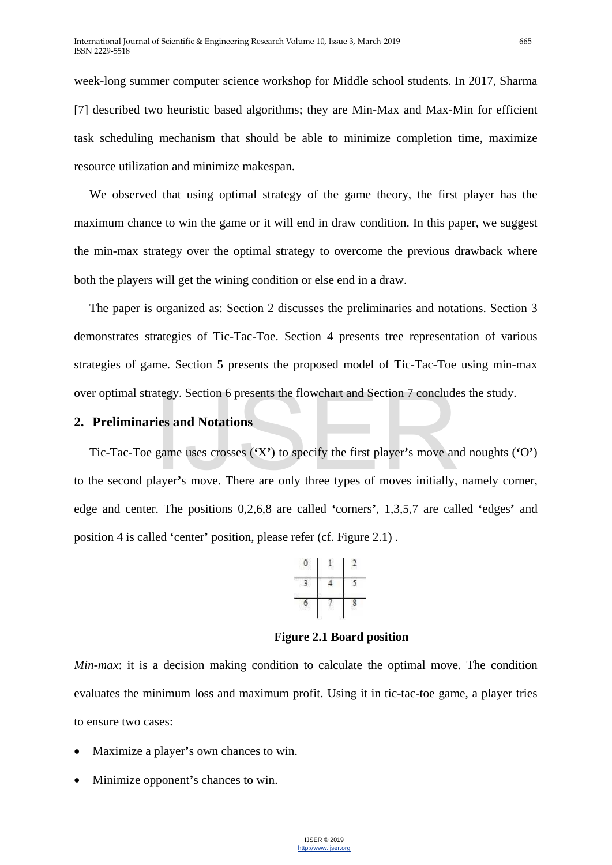week-long summer computer science workshop for Middle school students. In 2017, Sharma [7] described two heuristic based algorithms; they are Min-Max and Max-Min for efficient task scheduling mechanism that should be able to minimize completion time, maximize resource utilization and minimize makespan.

We observed that using optimal strategy of the game theory, the first player has the maximum chance to win the game or it will end in draw condition. In this paper, we suggest the min-max strategy over the optimal strategy to overcome the previous drawback where both the players will get the wining condition or else end in a draw.

The paper is organized as: Section 2 discusses the preliminaries and notations. Section 3 demonstrates strategies of Tic-Tac-Toe. Section 4 presents tree representation of various strategies of game. Section 5 presents the proposed model of Tic-Tac-Toe using min-max

# **2. Preliminaries and Notations**

over optimal strategy. Section 6 presents the flowchart and Section 7 concludes the study.<br>
2. Preliminaries and Notations<br>
Tic-Tac-Toe game uses crosses ('X') to specify the first player's move and noughts (<br>
to the secon Tic-Tac-Toe game uses crosses (**'**X**'**) to specify the first player**'**s move and noughts (**'**O**'**) to the second player**'**s move. There are only three types of moves initially, namely corner, edge and center. The positions 0,2,6,8 are called **'**corners**'**, 1,3,5,7 are called **'**edges**'** and position 4 is called **'**center**'** position, please refer (cf. Figure 2.1) .



**Figure 2.1 Board position**

*Min-max*: it is a decision making condition to calculate the optimal move. The condition evaluates the minimum loss and maximum profit. Using it in tic-tac-toe game, a player tries to ensure two cases:

- Maximize a player**'**s own chances to win.
- Minimize opponent**'**s chances to win.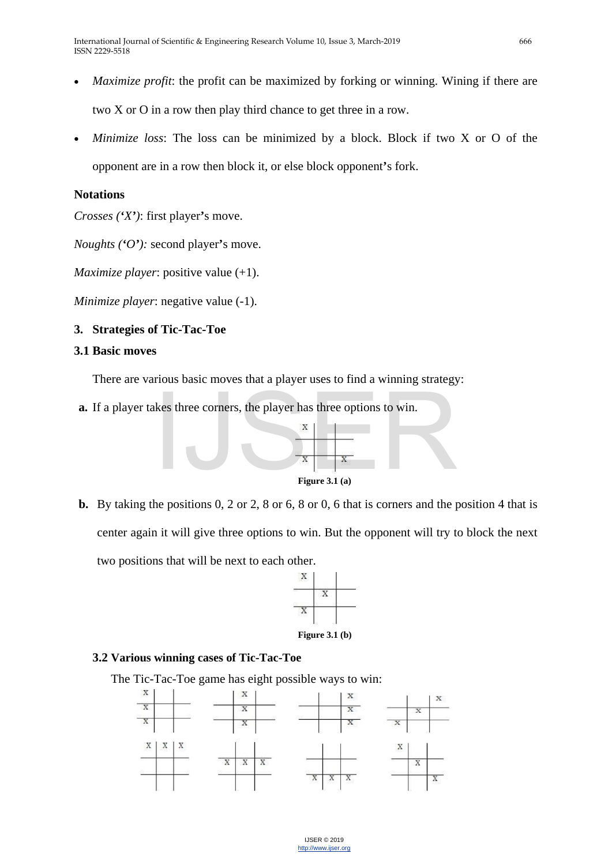- *Maximize profit*: the profit can be maximized by forking or winning. Wining if there are two X or O in a row then play third chance to get three in a row.
- *Minimize loss:* The loss can be minimized by a block. Block if two X or O of the opponent are in a row then block it, or else block opponent**'**s fork.

# **Notations**

*Crosses ('X')*: first player**'**s move.

*Noughts ('O'):* second player**'**s move.

*Maximize player*: positive value (+1).

*Minimize player*: negative value (-1).

# **3. Strategies of Tic-Tac-Toe**

# **3.1 Basic moves**

There are various basic moves that a player uses to find a winning strategy:

**a.** If a player takes three corners, the player has three options to win.



**b.** By taking the positions 0, 2 or 2, 8 or 6, 8 or 0, 6 that is corners and the position 4 that is center again it will give three options to win. But the opponent will try to block the next two positions that will be next to each other.



# **3.2 Various winning cases of Tic-Tac-Toe**

The Tic-Tac-Toe game has eight possible ways to win:

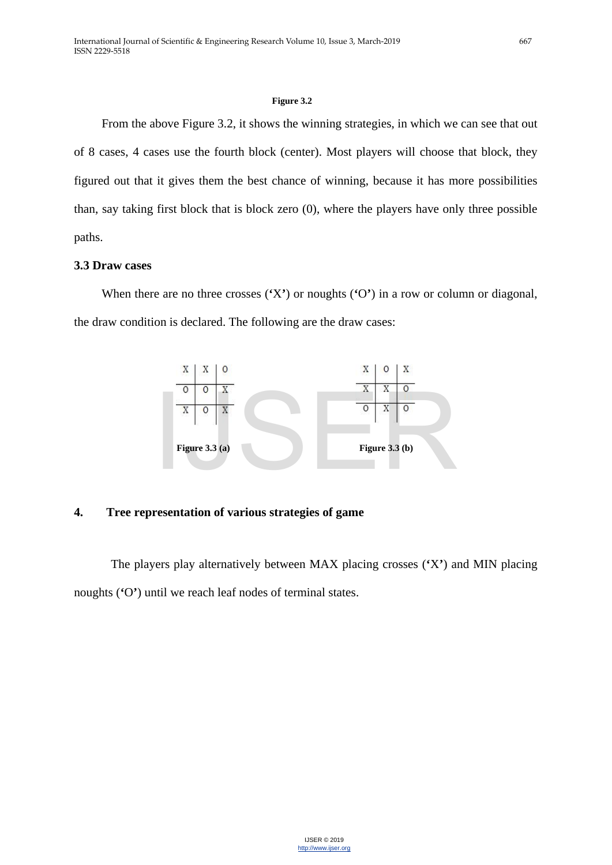#### **Figure 3.2**

From the above Figure 3.2, it shows the winning strategies, in which we can see that out of 8 cases, 4 cases use the fourth block (center). Most players will choose that block, they figured out that it gives them the best chance of winning, because it has more possibilities than, say taking first block that is block zero (0), where the players have only three possible paths.

# **3.3 Draw cases**

When there are no three crosses (**'**X**'**) or noughts (**'**O**'**) in a row or column or diagonal, the draw condition is declared. The following are the draw cases:



# **4. Tree representation of various strategies of game**

The players play alternatively between MAX placing crosses (**'**X**'**) and MIN placing noughts (**'**O**'**) until we reach leaf nodes of terminal states.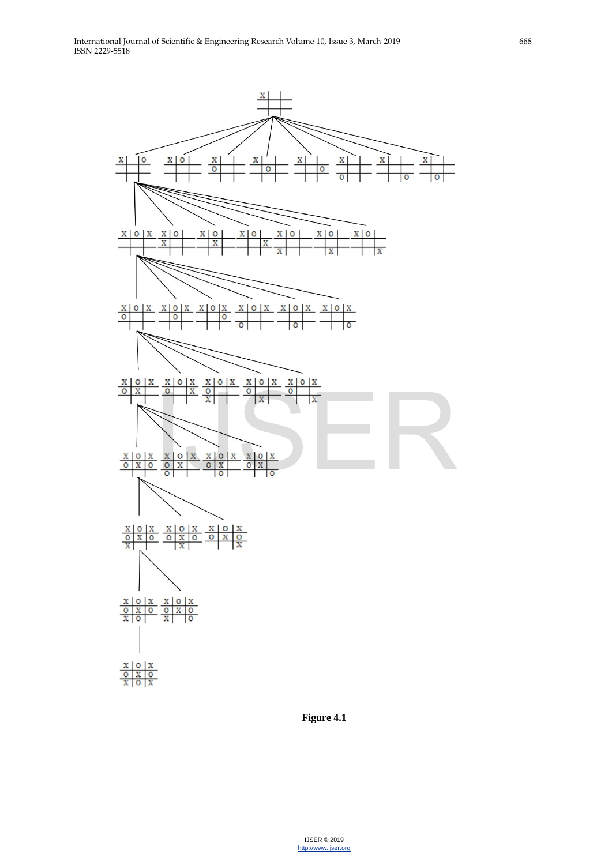

**Figure 4.1**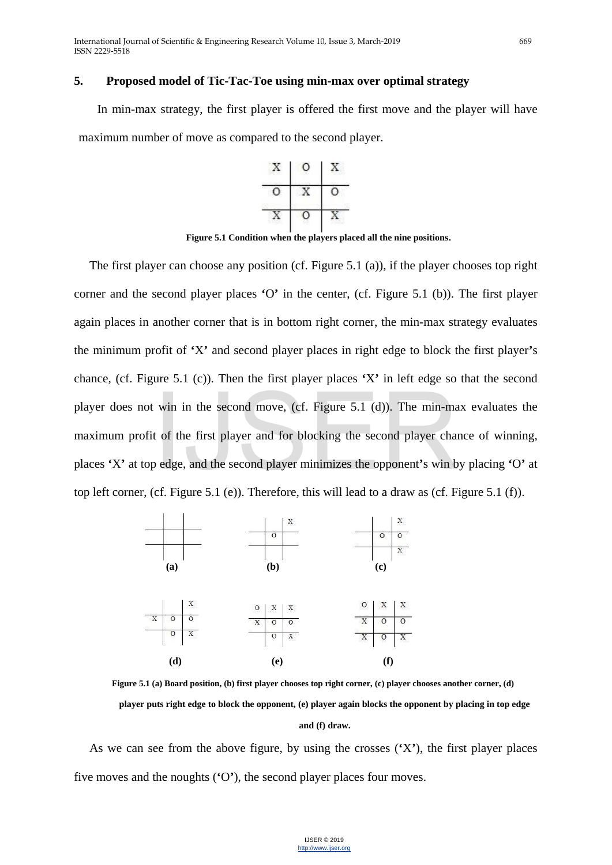### **5. Proposed model of Tic-Tac-Toe using min-max over optimal strategy**

In min-max strategy, the first player is offered the first move and the player will have maximum number of move as compared to the second player.



**Figure 5.1 Condition when the players placed all the nine positions**.

The first player can choose any position (cf. Figure 5.1 (a)), if the player chooses top right corner and the second player places **'**O**'** in the center, (cf. Figure 5.1 (b)). The first player again places in another corner that is in bottom right corner, the min-max strategy evaluates the minimum profit of **'**X**'** and second player places in right edge to block the first player**'**s chance, (cf. Figure 5.1 (c)). Then the first player places **'**X**'** in left edge so that the second player does not win in the second move, (cf. Figure 5.1 (d)). The min-max evaluates the maximum profit of the first player and for blocking the second player chance of winning, places **'**X**'** at top edge, and the second player minimizes the opponent**'**s win by placing **'**O**'** at top left corner, (cf. Figure 5.1 (e)). Therefore, this will lead to a draw as (cf. Figure 5.1 (f)). win in the second move, (cf. Figure 5.1 (d)). The min-manner to the first player and for blocking the second player chapter of the second player minimizes the opponent's win b (cf. Figure 5.1 (e)). Therefore, this will le



**Figure 5.1 (a) Board position, (b) first player chooses top right corner, (c) player chooses another corner, (d) player puts right edge to block the opponent, (e) player again blocks the opponent by placing in top edge and (f) draw.**

As we can see from the above figure, by using the crosses (**'**X**'**), the first player places five moves and the noughts (**'**O**'**), the second player places four moves.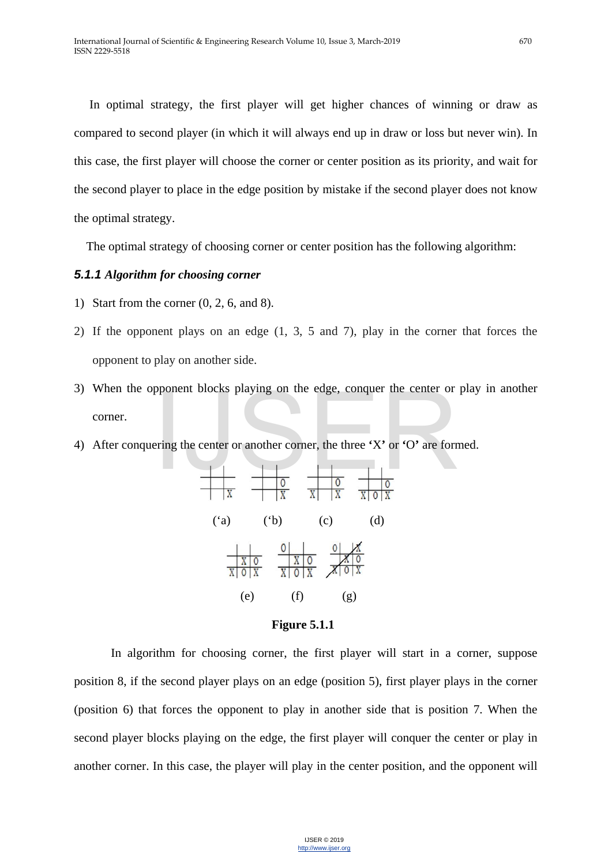In optimal strategy, the first player will get higher chances of winning or draw as compared to second player (in which it will always end up in draw or loss but never win). In this case, the first player will choose the corner or center position as its priority, and wait for the second player to place in the edge position by mistake if the second player does not know the optimal strategy.

The optimal strategy of choosing corner or center position has the following algorithm:

# *5.1.1 Algorithm for choosing corner*

- 1) Start from the corner (0, 2, 6, and 8).
- 2) If the opponent plays on an edge (1, 3, 5 and 7), play in the corner that forces the opponent to play on another side.
- 3) When the opponent blocks playing on the edge, conquer the center or play in another corner. pponent blocks playing on the edge, conquer the center or<br>ering the center or another corner, the three 'X' or 'O' are form<br> $\frac{1}{\sqrt{2}}$
- 4) After conquering the center or another corner, the three **'**X**'** or **'**O**'** are formed.





In algorithm for choosing corner, the first player will start in a corner, suppose position 8, if the second player plays on an edge (position 5), first player plays in the corner (position 6) that forces the opponent to play in another side that is position 7. When the second player blocks playing on the edge, the first player will conquer the center or play in another corner. In this case, the player will play in the center position, and the opponent will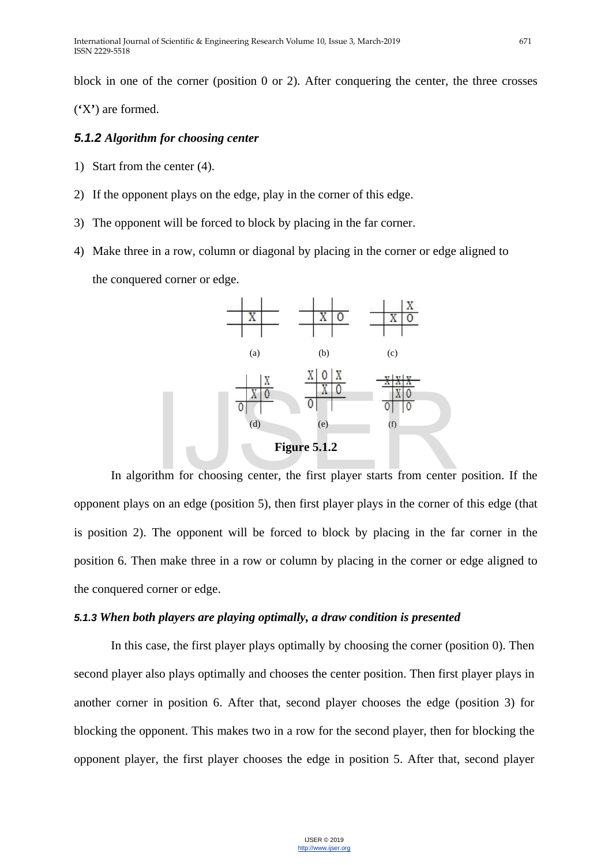block in one of the corner (position 0 or 2). After conquering the center, the three crosses

(**'**X**'**) are formed.

# *5.1.2 Algorithm for choosing center*

- 1) Start from the center (4).
- 2) If the opponent plays on the edge, play in the corner of this edge.
- 3) The opponent will be forced to block by placing in the far corner.
- 4) Make three in a row, column or diagonal by placing in the corner or edge aligned to the conquered corner or edge.



In algorithm for choosing center, the first player starts from center position. If the opponent plays on an edge (position 5), then first player plays in the corner of this edge (that is position 2). The opponent will be forced to block by placing in the far corner in the position 6. Then make three in a row or column by placing in the corner or edge aligned to the conquered corner or edge.

## *5.1.3 When both players are playing optimally, a draw condition is presented*

In this case, the first player plays optimally by choosing the corner (position 0). Then second player also plays optimally and chooses the center position. Then first player plays in another corner in position 6. After that, second player chooses the edge (position 3) for blocking the opponent. This makes two in a row for the second player, then for blocking the opponent player, the first player chooses the edge in position 5. After that, second player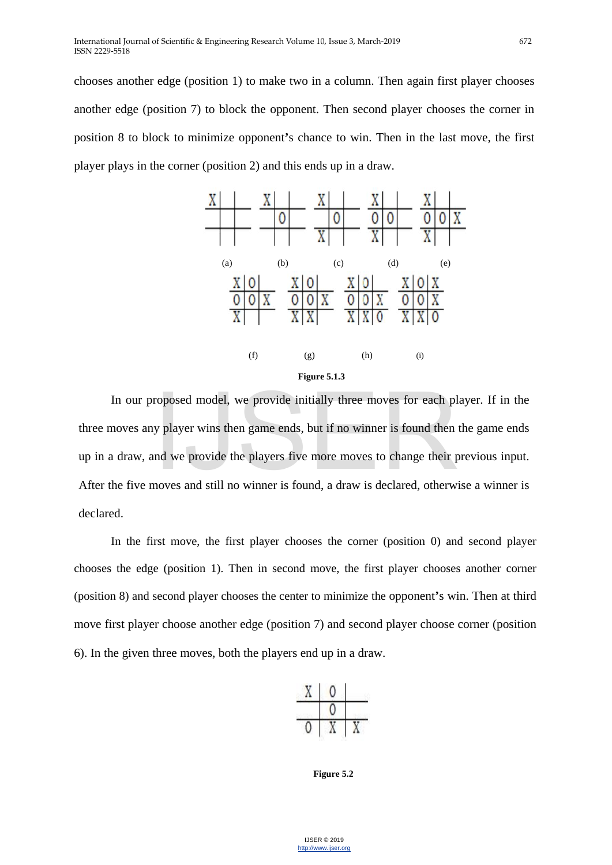chooses another edge (position 1) to make two in a column. Then again first player chooses another edge (position 7) to block the opponent. Then second player chooses the corner in position 8 to block to minimize opponent**'**s chance to win. Then in the last move, the first player plays in the corner (position 2) and this ends up in a draw.



In our proposed model, we provide initially three moves for each player. If in the noves any player wins then game ends, but if no winner is found then the game ends a draw, and we provide the players five more moves to ch three moves any player wins then game ends, but if no winner is found then the game ends up in a draw, and we provide the players five more moves to change their previous input. After the five moves and still no winner is found, a draw is declared, otherwise a winner is declared.

In the first move, the first player chooses the corner (position 0) and second player chooses the edge (position 1). Then in second move, the first player chooses another corner (position 8) and second player chooses the center to minimize the opponent**'**s win. Then at third move first player choose another edge (position 7) and second player choose corner (position 6). In the given three moves, both the players end up in a draw.



**Figure 5.2**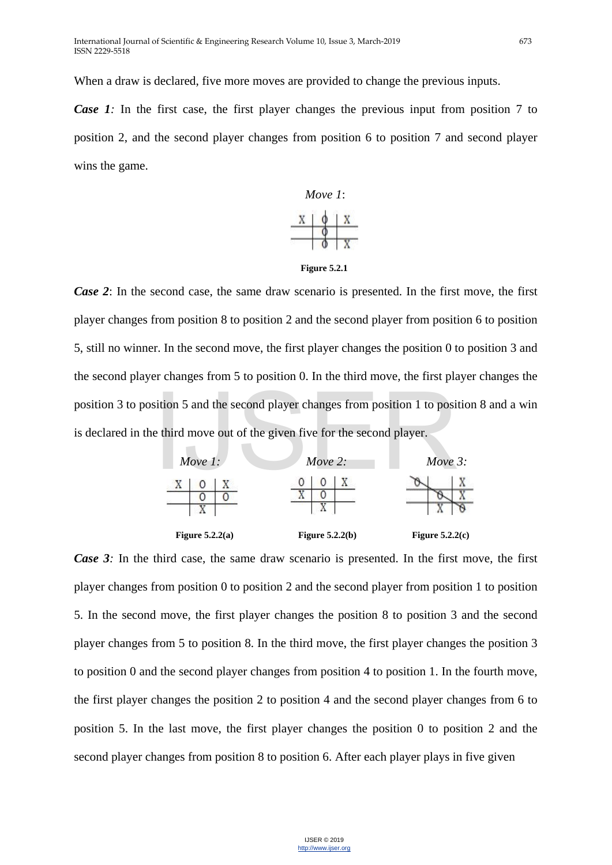When a draw is declared, five more moves are provided to change the previous inputs.

*Case 1:* In the first case, the first player changes the previous input from position 7 to position 2, and the second player changes from position 6 to position 7 and second player wins the game.



**Figure 5.2.1**

*Case 2*: In the second case, the same draw scenario is presented. In the first move, the first player changes from position 8 to position 2 and the second player from position 6 to position 5, still no winner. In the second move, the first player changes the position 0 to position 3 and the second player changes from 5 to position 0. In the third move, the first player changes the position 3 to position 5 and the second player changes from position 1 to position 8 and a win is declared in the third move out of the given five for the second player.



*Case 3:* In the third case, the same draw scenario is presented. In the first move, the first player changes from position 0 to position 2 and the second player from position 1 to position 5. In the second move, the first player changes the position 8 to position 3 and the second player changes from 5 to position 8. In the third move, the first player changes the position 3 to position 0 and the second player changes from position 4 to position 1. In the fourth move, the first player changes the position 2 to position 4 and the second player changes from 6 to position 5. In the last move, the first player changes the position 0 to position 2 and the second player changes from position 8 to position 6. After each player plays in five given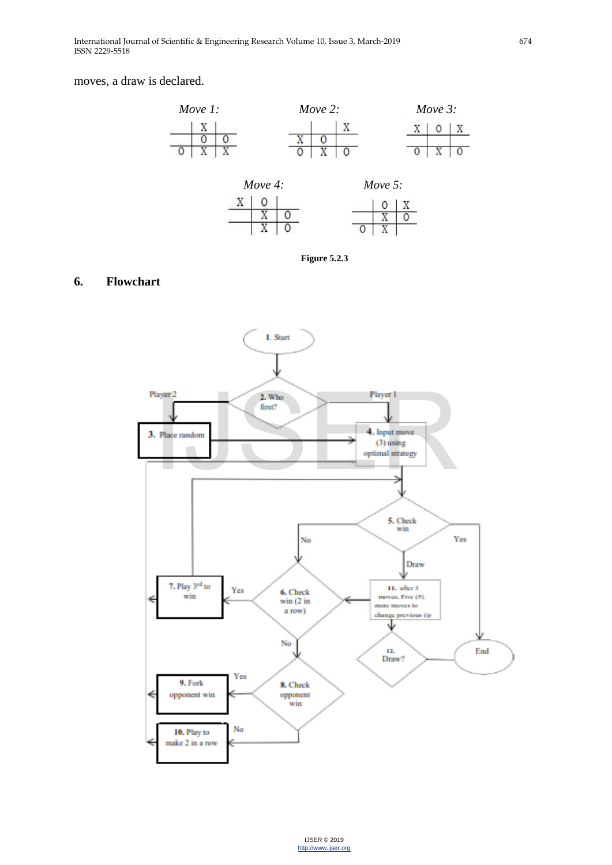#### moves, a draw is declared.



**Figure 5.2.3**

# **6. Flowchart**

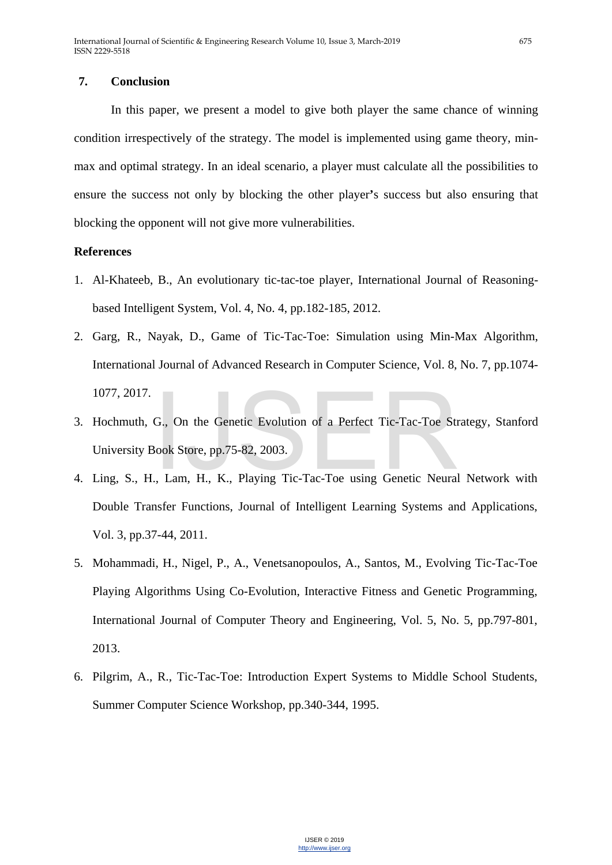# **7. Conclusion**

In this paper, we present a model to give both player the same chance of winning condition irrespectively of the strategy. The model is implemented using game theory, minmax and optimal strategy. In an ideal scenario, a player must calculate all the possibilities to ensure the success not only by blocking the other player**'**s success but also ensuring that blocking the opponent will not give more vulnerabilities.

# **References**

- 1. Al-Khateeb, B., An evolutionary tic-tac-toe player, International Journal of Reasoningbased Intelligent System, Vol. 4, No. 4, pp.182-185, 2012.
- 2. Garg, R., Nayak, D., Game of Tic-Tac-Toe: Simulation using Min-Max Algorithm, International Journal of Advanced Research in Computer Science, Vol. 8, No. 7, pp.1074- 1077, 2017.
- 3. Hochmuth, G., On the Genetic Evolution of a Perfect Tic-Tac-Toe Strategy, Stanford University Book Store, pp.75-82, 2003. G., On the Genetic Evolution of a Perfect Tic-Tac-Toe St<br>Book Store, pp.75-82, 2003.<br>., Lam, H., K., Playing Tic-Tac-Toe using Genetic Neura
- 4. Ling, S., H., Lam, H., K., Playing Tic-Tac-Toe using Genetic Neural Network with Double Transfer Functions, Journal of Intelligent Learning Systems and Applications, Vol. 3, pp.37-44, 2011.
- 5. Mohammadi, H., Nigel, P., A., Venetsanopoulos, A., Santos, M., Evolving Tic-Tac-Toe Playing Algorithms Using Co-Evolution, Interactive Fitness and Genetic Programming, International Journal of Computer Theory and Engineering, Vol. 5, No. 5, pp.797-801, 2013.
- 6. Pilgrim, A., R., Tic-Tac-Toe: Introduction Expert Systems to Middle School Students, Summer Computer Science Workshop, pp.340-344, 1995.